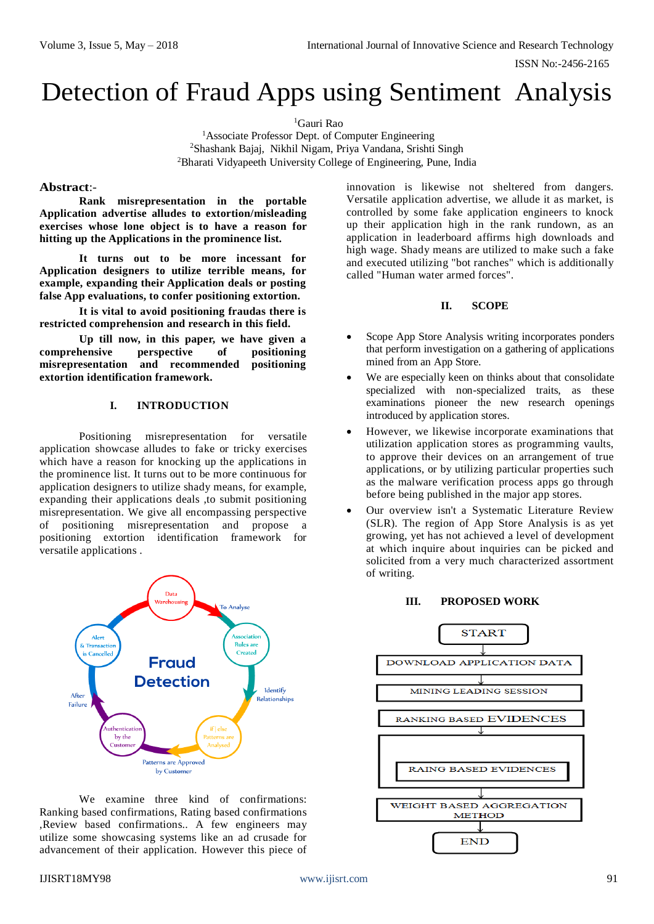ISSN No:-2456-2165

# Detection of Fraud Apps using Sentiment Analysis

<sup>1</sup>Gauri Rao

<sup>1</sup>Associate Professor Dept. of Computer Engineering <sup>2</sup>Shashank Bajaj, Nikhil Nigam, Priya Vandana, Srishti Singh <sup>2</sup>Bharati Vidyapeeth University College of Engineering, Pune, India

# **Abstract**:-

**Rank misrepresentation in the portable Application advertise alludes to extortion/misleading exercises whose lone object is to have a reason for hitting up the Applications in the prominence list.** 

**It turns out to be more incessant for Application designers to utilize terrible means, for example, expanding their Application deals or posting false App evaluations, to confer positioning extortion.** 

**It is vital to avoid positioning fraudas there is restricted comprehension and research in this field.** 

**Up till now, in this paper, we have given a comprehensive perspective of positioning misrepresentation and recommended positioning extortion identification framework.**

# **I. INTRODUCTION**

Positioning misrepresentation for versatile application showcase alludes to fake or tricky exercises which have a reason for knocking up the applications in the prominence list. It turns out to be more continuous for application designers to utilize shady means, for example, expanding their applications deals ,to submit positioning misrepresentation. We give all encompassing perspective of positioning misrepresentation and propose a positioning extortion identification framework for versatile applications .



We examine three kind of confirmations: Ranking based confirmations, Rating based confirmations ,Review based confirmations.. A few engineers may utilize some showcasing systems like an ad crusade for advancement of their application. However this piece of innovation is likewise not sheltered from dangers. Versatile application advertise, we allude it as market, is controlled by some fake application engineers to knock up their application high in the rank rundown, as an application in leaderboard affirms high downloads and high wage. Shady means are utilized to make such a fake and executed utilizing "bot ranches" which is additionally called "Human water armed forces".

# **II. SCOPE**

- Scope App Store Analysis writing incorporates ponders that perform investigation on a gathering of applications mined from an App Store.
- We are especially keen on thinks about that consolidate specialized with non-specialized traits, as these examinations pioneer the new research openings introduced by application stores.
- However, we likewise incorporate examinations that utilization application stores as programming vaults, to approve their devices on an arrangement of true applications, or by utilizing particular properties such as the malware verification process apps go through before being published in the major app stores.
- Our overview isn't a Systematic Literature Review (SLR). The region of App Store Analysis is as yet growing, yet has not achieved a level of development at which inquire about inquiries can be picked and solicited from a very much characterized assortment of writing.



### **III. PROPOSED WORK**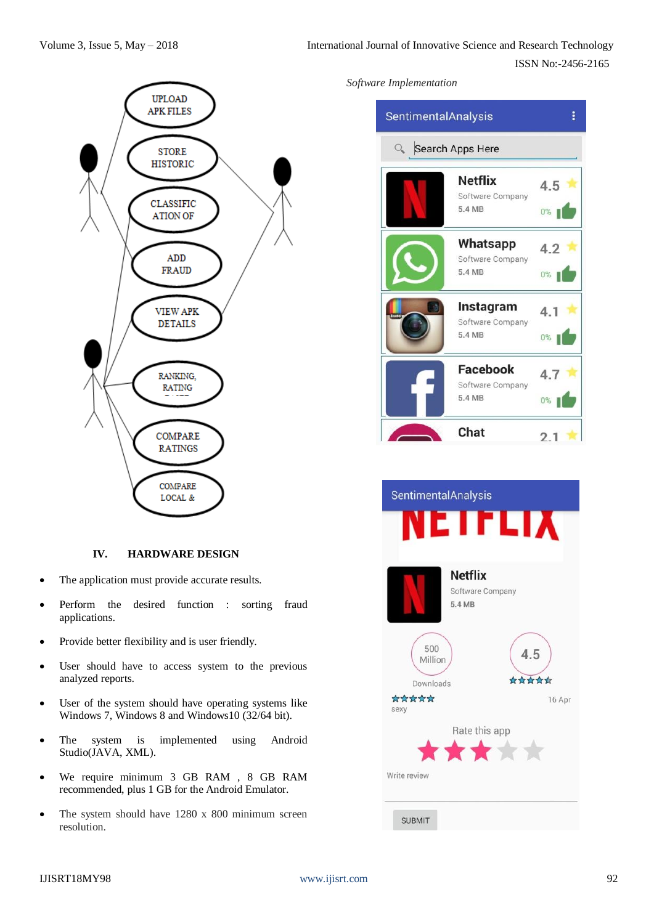

# **IV. HARDWARE DESIGN**

- The application must provide accurate results.
- Perform the desired function : sorting fraud applications.
- Provide better flexibility and is user friendly.
- User should have to access system to the previous analyzed reports.
- User of the system should have operating systems like Windows 7, Windows 8 and Windows10 (32/64 bit).
- The system is implemented using Android Studio(JAVA, XML).
- We require minimum 3 GB RAM , 8 GB RAM recommended, plus 1 GB for the Android Emulator.
- The system should have 1280 x 800 minimum screen resolution.

# *Software Implementation*



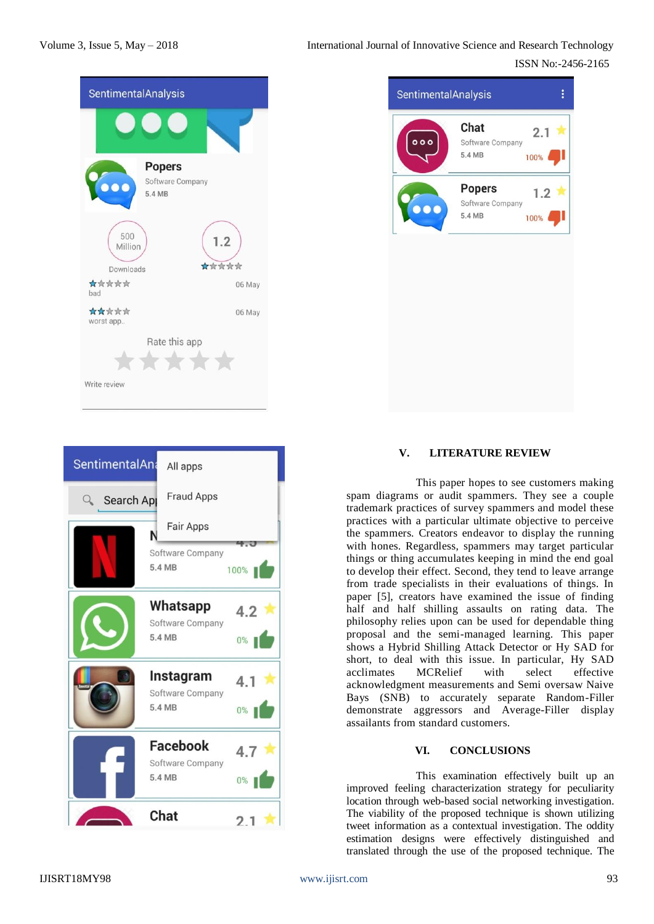ISSN No:-2456-2165





| Chat<br>2.1<br>000<br>Software Company<br>5.4 MB<br>100%<br><b>Popers</b><br>1.2<br>Software Company<br>$\overline{\mathbf{c}}$<br>5.4 MB |
|-------------------------------------------------------------------------------------------------------------------------------------------|
|                                                                                                                                           |
|                                                                                                                                           |
| 100%                                                                                                                                      |

# **V. LITERATURE REVIEW**

This paper hopes to see customers making spam diagrams or audit spammers. They see a couple trademark practices of survey spammers and model these practices with a particular ultimate objective to perceive the spammers. Creators endeavor to display the running with hones. Regardless, spammers may target particular things or thing accumulates keeping in mind the end goal to develop their effect. Second, they tend to leave arrange from trade specialists in their evaluations of things. In paper [5], creators have examined the issue of finding half and half shilling assaults on rating data. The philosophy relies upon can be used for dependable thing proposal and the semi-managed learning. This paper shows a Hybrid Shilling Attack Detector or Hy SAD for short, to deal with this issue. In particular, Hy SAD acclimates MCRelief with select effective acknowledgment measurements and Semi oversaw Naive Bays (SNB) to accurately separate Random-Filler demonstrate aggressors and Average-Filler display assailants from standard customers.

### **VI. CONCLUSIONS**

This examination effectively built up an improved feeling characterization strategy for peculiarity location through web-based social networking investigation. The viability of the proposed technique is shown utilizing tweet information as a contextual investigation. The oddity estimation designs were effectively distinguished and translated through the use of the proposed technique. The